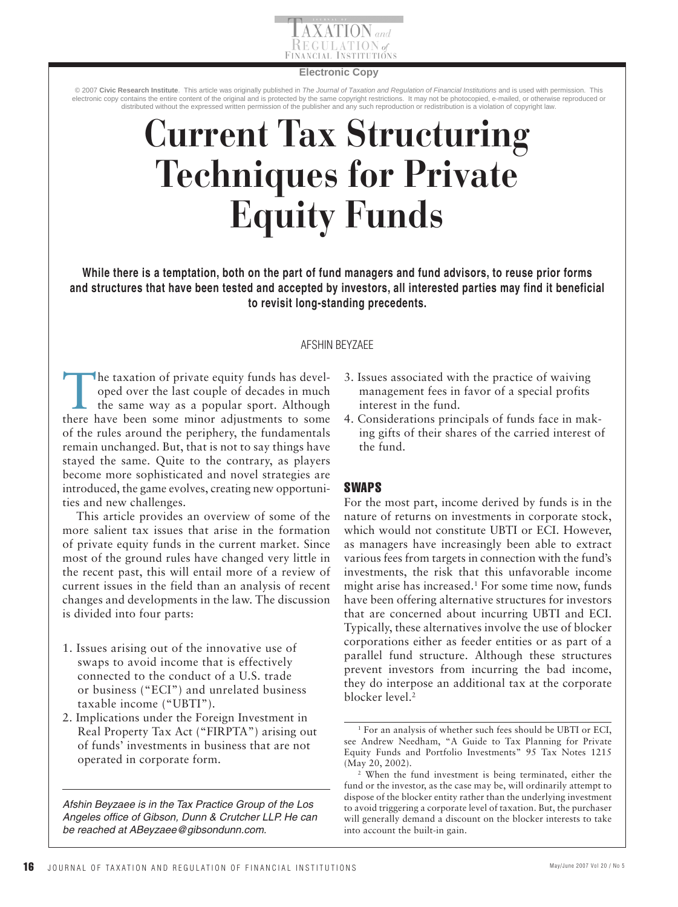

#### **Electronic Copy**

© 2007 **Civic Research Institute**. This article was originally published in *The Journal of Taxation and Regulation of Financial Institutions* and is used with permission. This electronic copy contains the entire content of the original and is protected by the same copyright restrictions. It may not be photocopied, e-mailed, or otherwise reproduced or<br>distributed without the expressed written per

# **Current Tax Structuring Techniques for Private Equity Funds**

**While there is a temptation, both on the part of fund managers and fund advisors, to reuse prior forms and structures that have been tested and accepted by investors, all interested parties may find it beneficial to revisit long-standing precedents.** 

## AFSHIN BEYZAEE

 The taxation of private equity funds has developed over the last couple of decades in much the same way as a popular sport. Although there have been some minor adjustments to some of the rules around the periphery, the fundamentals remain unchanged. But, that is not to say things have stayed the same. Quite to the contrary, as players become more sophisticated and novel strategies are introduced, the game evolves, creating new opportunities and new challenges.

This article provides an overview of some of the more salient tax issues that arise in the formation of private equity funds in the current market. Since most of the ground rules have changed very little in the recent past, this will entail more of a review of current issues in the field than an analysis of recent changes and developments in the law. The discussion is divided into four parts:

- 1. Issues arising out of the innovative use of swaps to avoid income that is effectively connected to the conduct of a U.S. trade or business ("ECI") and unrelated business taxable income ("UBTI").
- 2. Implications under the Foreign Investment in Real Property Tax Act ("FIRPTA") arising out of funds' investments in business that are not operated in corporate form.

*Afshin Beyzaee is in the Tax Practice Group of the Los Angeles office of Gibson, Dunn & Crutcher LLP. He can be reached at ABeyzaee@gibsondunn.com.*

- 3. Issues associated with the practice of waiving management fees in favor of a special profits interest in the fund.
- 4. Considerations principals of funds face in making gifts of their shares of the carried interest of the fund.

## SWAPS

For the most part, income derived by funds is in the nature of returns on investments in corporate stock, which would not constitute UBTI or ECI. However, as managers have increasingly been able to extract various fees from targets in connection with the fund's investments, the risk that this unfavorable income might arise has increased. 1 For some time now, funds have been offering alternative structures for investors that are concerned about incurring UBTI and ECI. Typically, these alternatives involve the use of blocker corporations either as feeder entities or as part of a parallel fund structure. Although these structures prevent investors from incurring the bad income, they do interpose an additional tax at the corporate blocker level.<sup>2</sup>

<sup>1</sup> For an analysis of whether such fees should be UBTI or ECI, see Andrew Needham, "A Guide to Tax Planning for Private Equity Funds and Portfolio Investments" 95 Tax Notes 1215 (May 20, 2002).

When the fund investment is being terminated, either the fund or the investor, as the case may be, will ordinarily attempt to dispose of the blocker entity rather than the underlying investment to avoid triggering a corporate level of taxation. But, the purchaser will generally demand a discount on the blocker interests to take into account the built-in gain.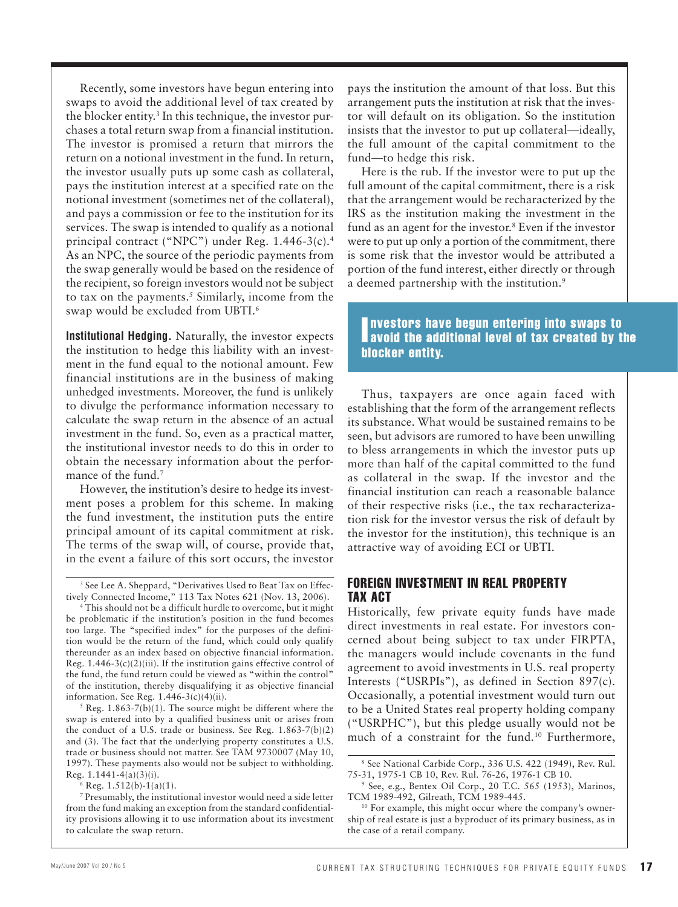Recently, some investors have begun entering into swaps to avoid the additional level of tax created by the blocker entity.<sup>3</sup> In this technique, the investor purchases a total return swap from a financial institution. The investor is promised a return that mirrors the return on a notional investment in the fund. In return, the investor usually puts up some cash as collateral, pays the institution interest at a specified rate on the notional investment (sometimes net of the collateral), and pays a commission or fee to the institution for its services. The swap is intended to qualify as a notional principal contract ("NPC") under Reg. 1.446-3(c).<sup>4</sup> As an NPC, the source of the periodic payments from the swap generally would be based on the residence of the recipient, so foreign investors would not be subject to tax on the payments.<sup>5</sup> Similarly, income from the swap would be excluded from UBTI.<sup>6</sup>

 **Institutional Hedging.** Naturally, the investor expects the institution to hedge this liability with an investment in the fund equal to the notional amount. Few financial institutions are in the business of making unhedged investments. Moreover, the fund is unlikely to divulge the performance information necessary to calculate the swap return in the absence of an actual investment in the fund. So, even as a practical matter, the institutional investor needs to do this in order to obtain the necessary information about the performance of the fund.<sup>7</sup>

However, the institution's desire to hedge its investment poses a problem for this scheme. In making the fund investment, the institution puts the entire principal amount of its capital commitment at risk. The terms of the swap will, of course, provide that, in the event a failure of this sort occurs, the investor

 Reg. 1.863-7(b)(1). The source might be different where the swap is entered into by a qualified business unit or arises from the conduct of a U.S. trade or business. See Reg. 1.863-7(b)(2) and (3). The fact that the underlying property constitutes a U.S. trade or business should not matter. See TAM 9730007 (May 10, 1997). These payments also would not be subject to withholding. Reg.  $1.1441-4(a)(3)(i)$ .

 $6$  Reg.  $1.512(b)-1(a)(1)$ .

7 Presumably, the institutional investor would need a side letter from the fund making an exception from the standard confidentiality provisions allowing it to use information about its investment to calculate the swap return.

pays the institution the amount of that loss. But this arrangement puts the institution at risk that the investor will default on its obligation. So the institution insists that the investor to put up collateral—ideally, the full amount of the capital commitment to the fund—to hedge this risk.

Here is the rub. If the investor were to put up the full amount of the capital commitment, there is a risk that the arrangement would be recharacterized by the IRS as the institution making the investment in the fund as an agent for the investor.<sup>8</sup> Even if the investor were to put up only a portion of the commitment, there is some risk that the investor would be attributed a portion of the fund interest, either directly or through a deemed partnership with the institution.<sup>9</sup>

## Investors have begun entering into swaps to<br>I avoid the additional level of tax created by the nvestors have begun entering into swaps to blocker entity.

Thus, taxpayers are once again faced with establishing that the form of the arrangement reflects its substance. What would be sustained remains to be seen, but advisors are rumored to have been unwilling to bless arrangements in which the investor puts up more than half of the capital committed to the fund as collateral in the swap. If the investor and the financial institution can reach a reasonable balance of their respective risks (i.e., the tax recharacterization risk for the investor versus the risk of default by the investor for the institution), this technique is an attractive way of avoiding ECI or UBTI.

## FOREIGN INVESTMENT IN REAL PROPERTY TAX ACT

Historically, few private equity funds have made direct investments in real estate. For investors concerned about being subject to tax under FIRPTA, the managers would include covenants in the fund agreement to avoid investments in U.S. real property Interests ("USRPIs"), as defined in Section 897(c). Occasionally, a potential investment would turn out to be a United States real property holding company ("USRPHC"), but this pledge usually would not be much of a constraint for the fund.<sup>10</sup> Furthermore,

<sup>3</sup> See Lee A. Sheppard, "Derivatives Used to Beat Tax on Effectively Connected Income," 113 Tax Notes 621 (Nov. 13, 2006). 4

This should not be a difficult hurdle to overcome, but it might be problematic if the institution's position in the fund becomes too large. The "specified index" for the purposes of the definition would be the return of the fund, which could only qualify thereunder as an index based on objective financial information. Reg.  $1.446-3(c)(2)(iii)$ . If the institution gains effective control of the fund, the fund return could be viewed as "within the control" of the institution, thereby disqualifying it as objective financial information. See Reg.  $1.446-3(c)(4)(ii)$ .

<sup>8</sup> See National Carbide Corp., 336 U.S. 422 (1949), Rev. Rul. 75-31, 1975-1 CB 10, Rev. Rul. 76-26, 1976-1 CB 10. 9

<sup>&</sup>lt;sup>9</sup> See, e.g., Bentex Oil Corp., 20 T.C. 565 (1953), Marinos, TCM 1989-492, Gilreath, TCM 1989-445.<br><sup>10</sup> For example, this might occur where the company's owner-

ship of real estate is just a byproduct of its primary business, as in the case of a retail company.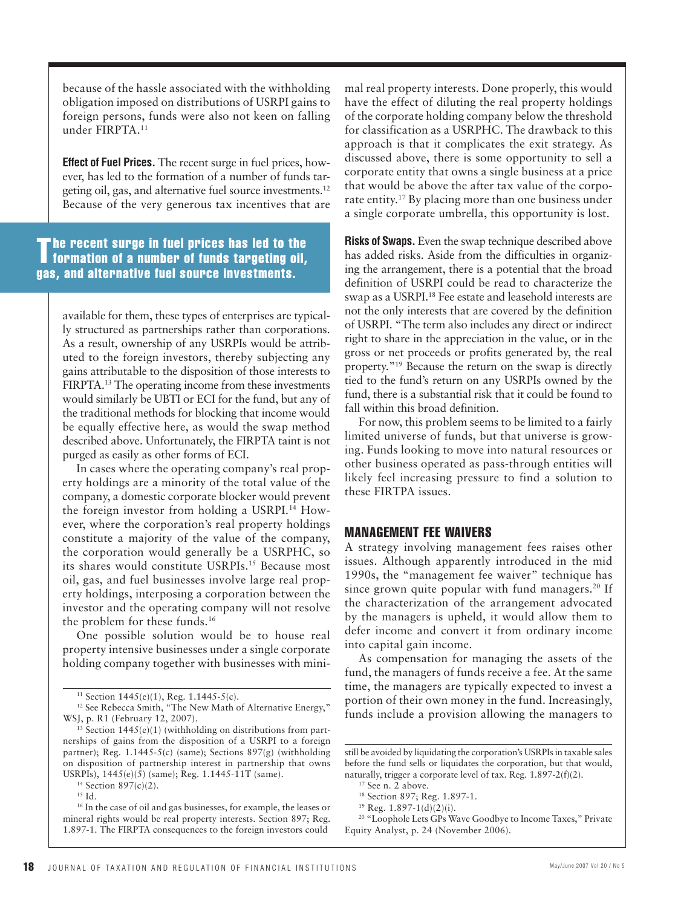because of the hassle associated with the withholding obligation imposed on distributions of USRPI gains to foreign persons, funds were also not keen on falling under FIRPTA. 11

 **Effect of Fuel Prices.** The recent surge in fuel prices, however, has led to the formation of a number of funds targeting oil, gas, and alternative fuel source investments. 12 Because of the very generous tax incentives that are

The recent surge in fuel prices has led to the<br>I formation of a number of funds targeting oil, gas, and alternative fuel source investments.

available for them, these types of enterprises are typically structured as partnerships rather than corporations. As a result, ownership of any USRPIs would be attributed to the foreign investors, thereby subjecting any gains attributable to the disposition of those interests to FIRPTA. 13 The operating income from these investments would similarly be UBTI or ECI for the fund, but any of the traditional methods for blocking that income would be equally effective here, as would the swap method described above. Unfortunately, the FIRPTA taint is not purged as easily as other forms of ECI.

In cases where the operating company's real property holdings are a minority of the total value of the company, a domestic corporate blocker would prevent the foreign investor from holding a USRPI. 14 However, where the corporation's real property holdings constitute a majority of the value of the company, the corporation would generally be a USRPHC, so its shares would constitute USRPIs.<sup>15</sup> Because most oil, gas, and fuel businesses involve large real property holdings, interposing a corporation between the investor and the operating company will not resolve the problem for these funds.<sup>16</sup>

One possible solution would be to house real property intensive businesses under a single corporate holding company together with businesses with mini-

mal real property interests. Done properly, this would have the effect of diluting the real property holdings of the corporate holding company below the threshold for classification as a USRPHC. The drawback to this approach is that it complicates the exit strategy. As discussed above, there is some opportunity to sell a corporate entity that owns a single business at a price that would be above the after tax value of the corporate entity. 17 By placing more than one business under a single corporate umbrella, this opportunity is lost.

 **Risks of Swaps.** Even the swap technique described above has added risks. Aside from the difficulties in organizing the arrangement, there is a potential that the broad definition of USRPI could be read to characterize the swap as a USRPI. 18 Fee estate and leasehold interests are not the only interests that are covered by the definition of USRPI. "The term also includes any direct or indirect right to share in the appreciation in the value, or in the gross or net proceeds or profits generated by, the real property."<sup>19</sup> Because the return on the swap is directly tied to the fund's return on any USRPIs owned by the fund, there is a substantial risk that it could be found to fall within this broad definition.

For now, this problem seems to be limited to a fairly limited universe of funds, but that universe is growing. Funds looking to move into natural resources or other business operated as pass-through entities will likely feel increasing pressure to find a solution to these FIRTPA issues.

## MANAGEMENT FEE WAIVERS

A strategy involving management fees raises other issues. Although apparently introduced in the mid 1990s, the "management fee waiver" technique has since grown quite popular with fund managers.<sup>20</sup> If the characterization of the arrangement advocated by the managers is upheld, it would allow them to defer income and convert it from ordinary income into capital gain income.

As compensation for managing the assets of the fund, the managers of funds receive a fee. At the same time, the managers are typically expected to invest a portion of their own money in the fund. Increasingly, funds include a provision allowing the managers to

<sup>11</sup> Section 1445(e)(1), Reg. 1.1445-5(c).

<sup>&</sup>lt;sup>12</sup> See Rebecca Smith, "The New Math of Alternative Energy," WSJ, p. R1 (February 12, 2007).

 $^{13}$  Section 1445(e)(1) (withholding on distributions from partnerships of gains from the disposition of a USRPI to a foreign partner); Reg. 1.1445-5(c) (same); Sections 897(g) (withholding on disposition of partnership interest in partnership that owns USRPIs),  $1445(e)(5)$  (same); Reg. 1.1445-11T (same). <sup>14</sup> Section 897(c)(2).

 $^{15}$  Id.

<sup>&</sup>lt;sup>16</sup> In the case of oil and gas businesses, for example, the leases or mineral rights would be real property interests. Section 897; Reg. 1.897-1.The FIRPTA consequences to the foreign investors could

still be avoided by liquidating the corporation's USRPIs in taxable sales before the fund sells or liquidates the corporation, but that would, naturally, trigger a corporate level of tax. Reg. 1.897-2(f)(2).

<sup>17</sup> See n. 2 above.

<sup>18</sup> Section 897; Reg. 1.897-1.

 $19$  Reg. 1.897-1(d)(2)(i).

<sup>&</sup>lt;sup>20</sup> "Loophole Lets GPs Wave Goodbye to Income Taxes," Private Equity Analyst, p. 24 (November 2006).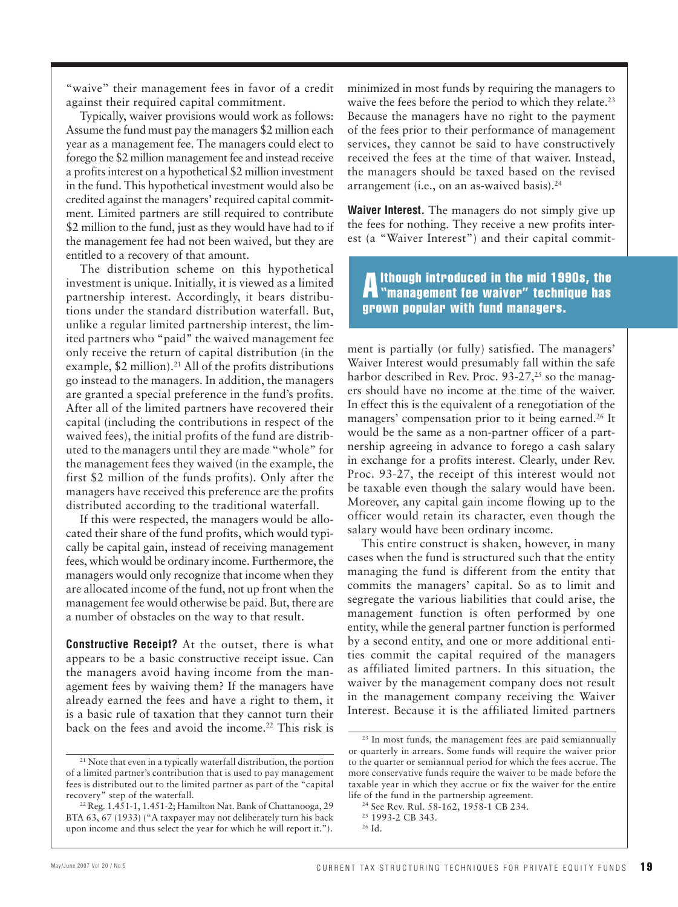"waive" their management fees in favor of a credit against their required capital commitment.

Typically, waiver provisions would work as follows: Assume the fund must pay the managers \$2 million each year as a management fee. The managers could elect to forego the \$2 million management fee and instead receive a profits interest on a hypothetical \$2 million investment in the fund. This hypothetical investment would also be credited against the managers' required capital commitment. Limited partners are still required to contribute \$2 million to the fund, just as they would have had to if the management fee had not been waived, but they are entitled to a recovery of that amount.

The distribution scheme on this hypothetical investment is unique. Initially, it is viewed as a limited partnership interest. Accordingly, it bears distributions under the standard distribution waterfall. But, unlike a regular limited partnership interest, the limited partners who "paid" the waived management fee only receive the return of capital distribution (in the example, \$2 million).<sup>21</sup> All of the profits distributions go instead to the managers. In addition, the managers are granted a special preference in the fund's profits. After all of the limited partners have recovered their capital (including the contributions in respect of the waived fees), the initial profits of the fund are distributed to the managers until they are made "whole" for the management fees they waived (in the example, the first \$2 million of the funds profits). Only after the managers have received this preference are the profits distributed according to the traditional waterfall.

If this were respected, the managers would be allocated their share of the fund profits, which would typically be capital gain, instead of receiving management fees, which would be ordinary income. Furthermore, the managers would only recognize that income when they are allocated income of the fund, not up front when the management fee would otherwise be paid. But, there are a number of obstacles on the way to that result.

 **Constructive Receipt?** At the outset, there is what appears to be a basic constructive receipt issue. Can the managers avoid having income from the management fees by waiving them? If the managers have already earned the fees and have a right to them, it is a basic rule of taxation that they cannot turn their back on the fees and avoid the income.<sup>22</sup> This risk is

minimized in most funds by requiring the managers to waive the fees before the period to which they relate.<sup>23</sup> Because the managers have no right to the payment of the fees prior to their performance of management services, they cannot be said to have constructively received the fees at the time of that waiver. Instead, the managers should be taxed based on the revised arrangement (i.e., on an as-waived basis). 24

 **Waiver Interest.** The managers do not simply give up the fees for nothing. They receive a new profits interest (a "Waiver Interest") and their capital commit-

Although introduced in the mid 1990s, the "management fee waiver" technique has grown popular with fund managers.

ment is partially (or fully) satisfied. The managers' Waiver Interest would presumably fall within the safe harbor described in Rev. Proc.  $93-27$ ,<sup>25</sup> so the managers should have no income at the time of the waiver. In effect this is the equivalent of a renegotiation of the managers' compensation prior to it being earned.<sup>26</sup> It would be the same as a non-partner officer of a partnership agreeing in advance to forego a cash salary in exchange for a profits interest. Clearly, under Rev. Proc. 93-27, the receipt of this interest would not be taxable even though the salary would have been. Moreover, any capital gain income flowing up to the officer would retain its character, even though the salary would have been ordinary income.

This entire construct is shaken, however, in many cases when the fund is structured such that the entity managing the fund is different from the entity that commits the managers' capital. So as to limit and segregate the various liabilities that could arise, the management function is often performed by one entity, while the general partner function is performed by a second entity, and one or more additional entities commit the capital required of the managers as affiliated limited partners. In this situation, the waiver by the management company does not result in the management company receiving the Waiver Interest. Because it is the affiliated limited partners

<sup>&</sup>lt;sup>21</sup> Note that even in a typically waterfall distribution, the portion of a limited partner's contribution that is used to pay management fees is distributed out to the limited partner as part of the "capital

recovery" step of the waterfall. 22 Reg. 1.451-1, 1.451-2; Hamilton Nat. Bank of Chattanooga, 29 BTA 63, 67 (1933) ("A taxpayer may not deliberately turn his back upon income and thus select the year for which he will report it.").

<sup>&</sup>lt;sup>23</sup> In most funds, the management fees are paid semiannually or quarterly in arrears. Some funds will require the waiver prior to the quarter or semiannual period for which the fees accrue. The more conservative funds require the waiver to be made before the taxable year in which they accrue or fix the waiver for the entire life of the fund in the partnership agreement. 24 See Rev. Rul. 58-162, 1958-1 CB 234.

<sup>&</sup>lt;sup>25</sup> 1993-2 CB 343.

<sup>26</sup> Id.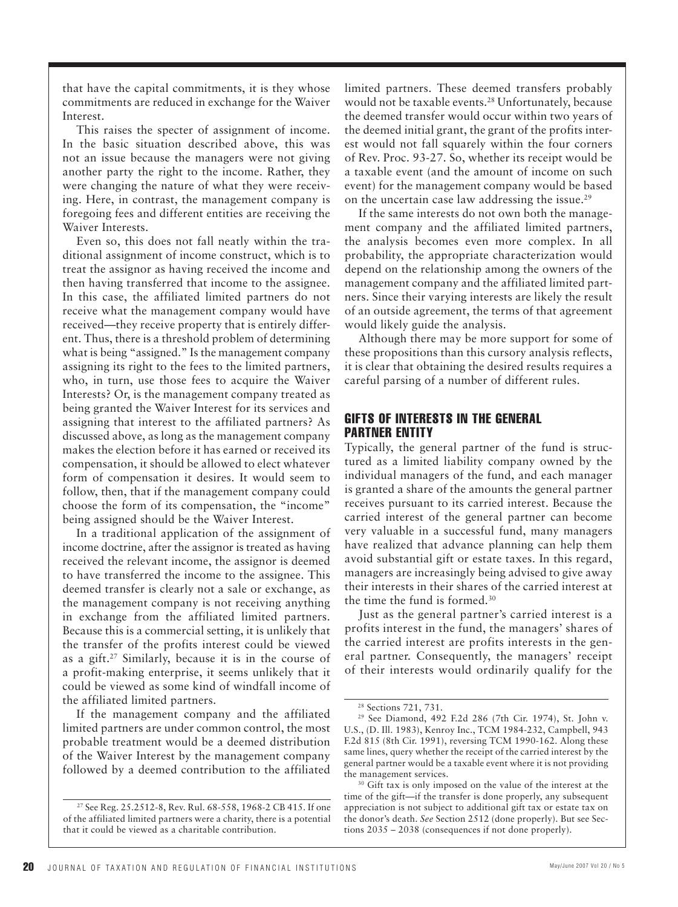that have the capital commitments, it is they whose commitments are reduced in exchange for the Waiver Interest.

This raises the specter of assignment of income. In the basic situation described above, this was not an issue because the managers were not giving another party the right to the income. Rather, they were changing the nature of what they were receiving. Here, in contrast, the management company is foregoing fees and different entities are receiving the Waiver Interests.

Even so, this does not fall neatly within the traditional assignment of income construct, which is to treat the assignor as having received the income and then having transferred that income to the assignee. In this case, the affiliated limited partners do not receive what the management company would have received—they receive property that is entirely different. Thus, there is a threshold problem of determining what is being "assigned." Is the management company assigning its right to the fees to the limited partners, who, in turn, use those fees to acquire the Waiver Interests? Or, is the management company treated as being granted the Waiver Interest for its services and assigning that interest to the affiliated partners? As discussed above, as long as the management company makes the election before it has earned or received its compensation, it should be allowed to elect whatever form of compensation it desires. It would seem to follow, then, that if the management company could choose the form of its compensation, the "income" being assigned should be the Waiver Interest.

In a traditional application of the assignment of income doctrine, after the assignor is treated as having received the relevant income, the assignor is deemed to have transferred the income to the assignee. This deemed transfer is clearly not a sale or exchange, as the management company is not receiving anything in exchange from the affiliated limited partners. Because this is a commercial setting, it is unlikely that the transfer of the profits interest could be viewed as a gift. 27 Similarly, because it is in the course of a profit-making enterprise, it seems unlikely that it could be viewed as some kind of windfall income of the affiliated limited partners.

If the management company and the affiliated limited partners are under common control, the most probable treatment would be a deemed distribution of the Waiver Interest by the management company followed by a deemed contribution to the affiliated limited partners. These deemed transfers probably would not be taxable events.<sup>28</sup> Unfortunately, because the deemed transfer would occur within two years of the deemed initial grant, the grant of the profits interest would not fall squarely within the four corners of Rev. Proc. 93-27. So, whether its receipt would be a taxable event (and the amount of income on such event) for the management company would be based on the uncertain case law addressing the issue.<sup>29</sup>

If the same interests do not own both the management company and the affiliated limited partners, the analysis becomes even more complex. In all probability, the appropriate characterization would depend on the relationship among the owners of the management company and the affiliated limited partners. Since their varying interests are likely the result of an outside agreement, the terms of that agreement would likely guide the analysis.

Although there may be more support for some of these propositions than this cursory analysis reflects, it is clear that obtaining the desired results requires a careful parsing of a number of different rules.

## GIFTS OF INTERESTS IN THE GENERAL PARTNER ENTITY

Typically, the general partner of the fund is structured as a limited liability company owned by the individual managers of the fund, and each manager is granted a share of the amounts the general partner receives pursuant to its carried interest. Because the carried interest of the general partner can become very valuable in a successful fund, many managers have realized that advance planning can help them avoid substantial gift or estate taxes. In this regard, managers are increasingly being advised to give away their interests in their shares of the carried interest at the time the fund is formed.<sup>30</sup>

Just as the general partner's carried interest is a profits interest in the fund, the managers' shares of the carried interest are profits interests in the general partner. Consequently, the managers' receipt of their interests would ordinarily qualify for the

<sup>27</sup> See Reg. 25.2512-8, Rev. Rul. 68-558, 1968-2 CB 415. If one of the affiliated limited partners were a charity, there is a potential that it could be viewed as a charitable contribution.

<sup>&</sup>lt;sup>28</sup> Sections 721, 731.

<sup>29</sup> See Diamond, 492 F.2d 286 (7th Cir. 1974), St. John v. U.S., (D. Ill. 1983), Kenroy Inc., TCM 1984-232, Campbell, 943 F.2d 815 (8th Cir. 1991), reversing TCM 1990-162. Along these same lines, query whether the receipt of the carried interest by the general partner would be a taxable event where it is not providing the management services. 30 Gift tax is only imposed on the value of the interest at the

time of the gift—if the transfer is done properly, any subsequent appreciation is not subject to additional gift tax or estate tax on the donor's death. *See* Section 2512 (done properly). But see Sections 2035 – 2038 (consequences if not done properly).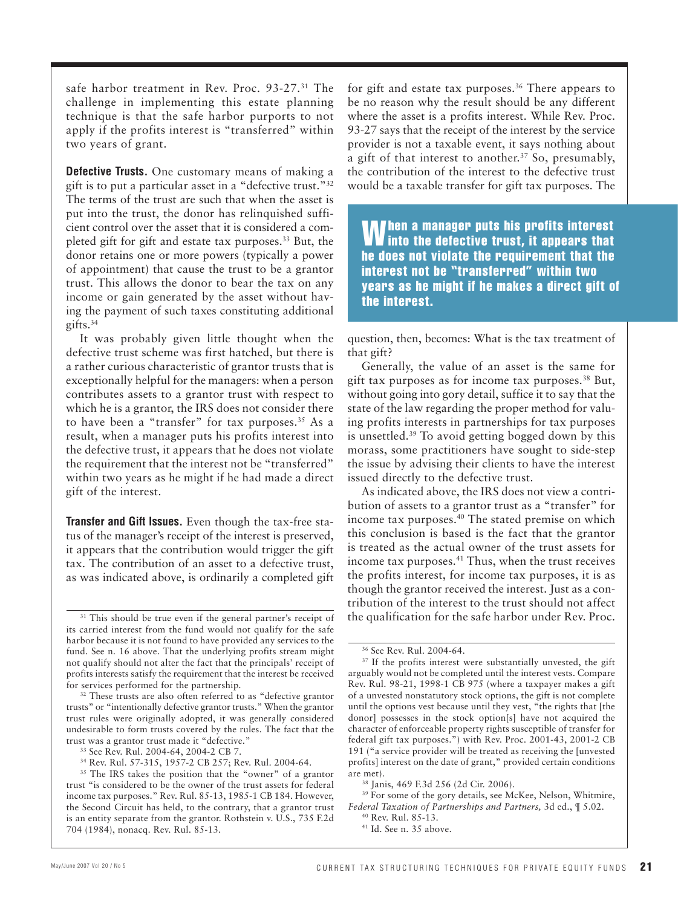safe harbor treatment in Rev. Proc. 93-27.<sup>31</sup> The challenge in implementing this estate planning technique is that the safe harbor purports to not apply if the profits interest is "transferred" within two years of grant.

**Defective Trusts.** One customary means of making a gift is to put a particular asset in a "defective trust." 32 The terms of the trust are such that when the asset is put into the trust, the donor has relinquished sufficient control over the asset that it is considered a completed gift for gift and estate tax purposes. 33 But, the donor retains one or more powers (typically a power of appointment) that cause the trust to be a grantor trust. This allows the donor to bear the tax on any income or gain generated by the asset without having the payment of such taxes constituting additional gifts. 34

It was probably given little thought when the defective trust scheme was first hatched, but there is a rather curious characteristic of grantor trusts that is exceptionally helpful for the managers: when a person contributes assets to a grantor trust with respect to which he is a grantor, the IRS does not consider there to have been a "transfer" for tax purposes.<sup>35</sup> As a result, when a manager puts his profits interest into the defective trust, it appears that he does not violate the requirement that the interest not be "transferred" within two years as he might if he had made a direct gift of the interest.

 **Transfer and Gift Issues.** Even though the tax-free status of the manager's receipt of the interest is preserved, it appears that the contribution would trigger the gift tax. The contribution of an asset to a defective trust, as was indicated above, is ordinarily a completed gift

trusts" or "intentionally defective grantor trusts." When the grantor trust rules were originally adopted, it was generally considered undesirable to form trusts covered by the rules. The fact that the trust was a grantor trust made it "defective." 33 See Rev. Rul. 2004-64, 2004-2 CB 7.

for gift and estate tax purposes.<sup>36</sup> There appears to be no reason why the result should be any different where the asset is a profits interest. While Rev. Proc. 93-27 says that the receipt of the interest by the service provider is not a taxable event, it says nothing about a gift of that interest to another.<sup>37</sup> So, presumably, the contribution of the interest to the defective trust would be a taxable transfer for gift tax purposes. The

When a manager puts his profits interest into the defective trust, it appears that he does not violate the requirement that the interest not be "transferred" within two years as he might if he makes a direct gift of the interest.

question, then, becomes: What is the tax treatment of that gift?

Generally, the value of an asset is the same for gift tax purposes as for income tax purposes. 38 But, without going into gory detail, suffice it to say that the state of the law regarding the proper method for valuing profits interests in partnerships for tax purposes is unsettled. 39 To avoid getting bogged down by this morass, some practitioners have sought to side-step the issue by advising their clients to have the interest issued directly to the defective trust.

As indicated above, the IRS does not view a contribution of assets to a grantor trust as a "transfer" for income tax purposes.<sup>40</sup> The stated premise on which this conclusion is based is the fact that the grantor is treated as the actual owner of the trust assets for income tax purposes. 41 Thus, when the trust receives the profits interest, for income tax purposes, it is as though the grantor received the interest. Just as a contribution of the interest to the trust should not affect the qualification for the safe harbor under Rev. Proc.

<sup>&</sup>lt;sup>31</sup> This should be true even if the general partner's receipt of its carried interest from the fund would not qualify for the safe harbor because it is not found to have provided any services to the fund. See n. 16 above. That the underlying profits stream might not qualify should not alter the fact that the principals' receipt of profits interests satisfy the requirement that the interest be received for services performed for the partnership. 32 These trusts are also often referred to as "defective grantor

<sup>34</sup> Rev. Rul. 57-315, 1957-2 CB 257; Rev. Rul. 2004-64.

<sup>&</sup>lt;sup>35</sup> The IRS takes the position that the "owner" of a grantor trust "is considered to be the owner of the trust assets for federal income tax purposes." Rev. Rul. 85-13, 1985-1 CB 184. However, the Second Circuit has held, to the contrary, that a grantor trust is an entity separate from the grantor. Rothstein v. U.S., 735 F.2d 704 (1984), nonacq. Rev. Rul. 85-13.

<sup>36</sup> See Rev. Rul. 2004-64.

<sup>&</sup>lt;sup>37</sup> If the profits interest were substantially unvested, the gift arguably would not be completed until the interest vests. Compare Rev. Rul. 98-21, 1998-1 CB 975 (where a taxpayer makes a gift of a unvested nonstatutory stock options, the gift is not complete until the options vest because until they vest, "the rights that [the donor] possesses in the stock option[s] have not acquired the character of enforceable property rights susceptible of transfer for federal gift tax purposes.") with Rev. Proc. 2001-43, 2001-2 CB 191 ("a service provider will be treated as receiving the [unvested profits] interest on the date of grant," provided certain conditions are met). 38 Janis, 469 F.3d 256 (2d Cir. 2006).

<sup>&</sup>lt;sup>39</sup> For some of the gory details, see McKee, Nelson, Whitmire, *Federal Taxation of Partnerships and Partners, 3d ed.,*  $\parallel$  5.02.<br><sup>40</sup> Rev. Rul. 85-13.

<sup>&</sup>lt;sup>41</sup> Id. See n. 35 above.